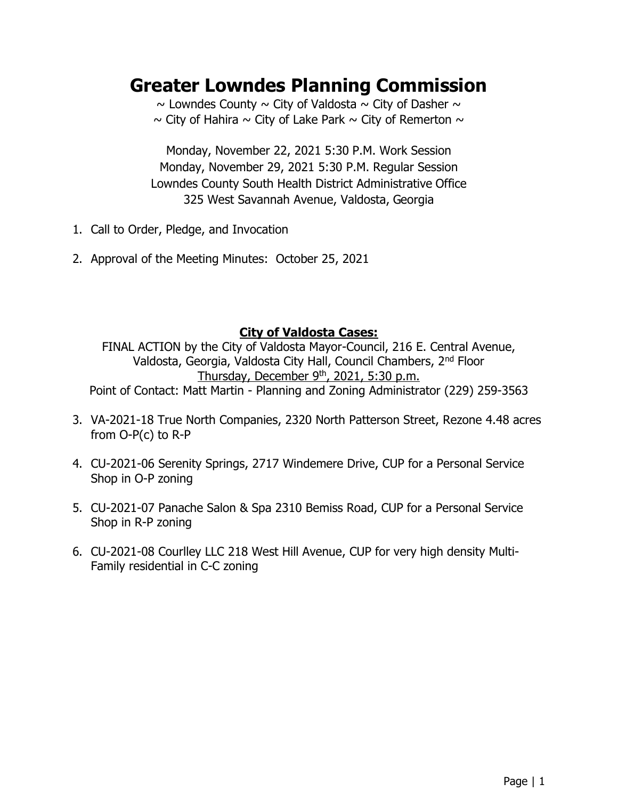# **Greater Lowndes Planning Commission**

 $\sim$  Lowndes County  $\sim$  City of Valdosta  $\sim$  City of Dasher  $\sim$  $\sim$  City of Hahira  $\sim$  City of Lake Park  $\sim$  City of Remerton  $\sim$ 

Monday, November 22, 2021 5:30 P.M. Work Session Monday, November 29, 2021 5:30 P.M. Regular Session Lowndes County South Health District Administrative Office 325 West Savannah Avenue, Valdosta, Georgia

- 1. Call to Order, Pledge, and Invocation
- 2. Approval of the Meeting Minutes: October 25, 2021

# **City of Valdosta Cases:**

FINAL ACTION by the City of Valdosta Mayor-Council, 216 E. Central Avenue, Valdosta, Georgia, Valdosta City Hall, Council Chambers, 2nd Floor Thursday, December 9th, 2021, 5:30 p.m.

Point of Contact: Matt Martin - Planning and Zoning Administrator (229) 259-3563

- 3. VA-2021-18 True North Companies, 2320 North Patterson Street, Rezone 4.48 acres from O-P(c) to R-P
- 4. CU-2021-06 Serenity Springs, 2717 Windemere Drive, CUP for a Personal Service Shop in O-P zoning
- 5. CU-2021-07 Panache Salon & Spa 2310 Bemiss Road, CUP for a Personal Service Shop in R-P zoning
- 6. CU-2021-08 Courlley LLC 218 West Hill Avenue, CUP for very high density Multi-Family residential in C-C zoning